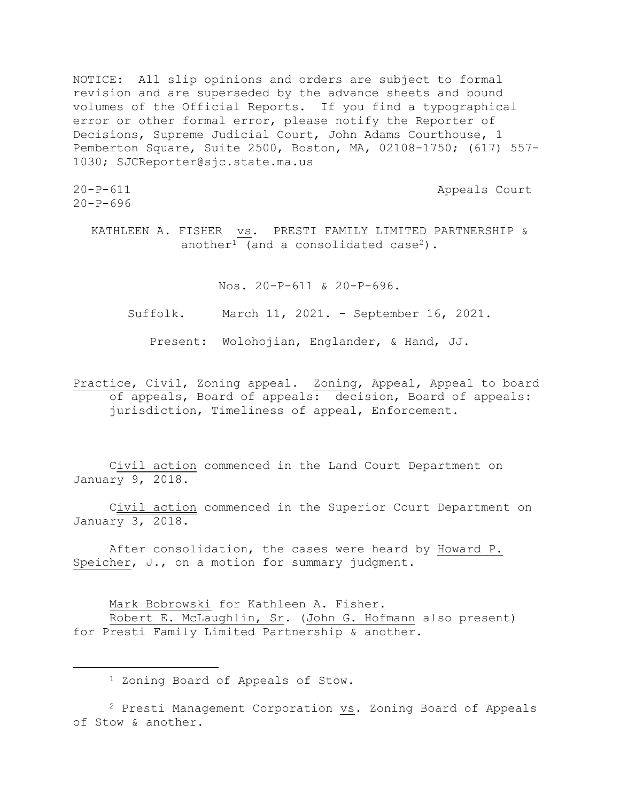NOTICE: All slip opinions and orders are subject to formal revision and are superseded by the advance sheets and bound volumes of the Official Reports. If you find a typographical error or other formal error, please notify the Reporter of Decisions, Supreme Judicial Court, John Adams Courthouse, 1 Pemberton Square, Suite 2500, Boston, MA, 02108-1750; (617) 557- 1030; SJCReporter@sjc.state.ma.us

 $20-P-696$ 

20-P-611 Appeals Court

KATHLEEN A. FISHER vs. PRESTI FAMILY LIMITED PARTNERSHIP & another<sup>1</sup> (and a consolidated case<sup>2</sup>).

Nos. 20-P-611 & 20-P-696.

Suffolk. March 11, 2021. – September 16, 2021.

Present: Wolohojian, Englander, & Hand, JJ.

Practice, Civil, Zoning appeal. Zoning, Appeal, Appeal to board of appeals, Board of appeals: decision, Board of appeals: jurisdiction, Timeliness of appeal, Enforcement.

Civil action commenced in the Land Court Department on January 9, 2018.

Civil action commenced in the Superior Court Department on January 3, 2018.

After consolidation, the cases were heard by Howard P. Speicher, J., on a motion for summary judgment.

Mark Bobrowski for Kathleen A. Fisher. Robert E. McLaughlin, Sr. (John G. Hofmann also present) for Presti Family Limited Partnership & another.

<sup>1</sup> Zoning Board of Appeals of Stow.

<sup>2</sup> Presti Management Corporation vs. Zoning Board of Appeals of Stow & another.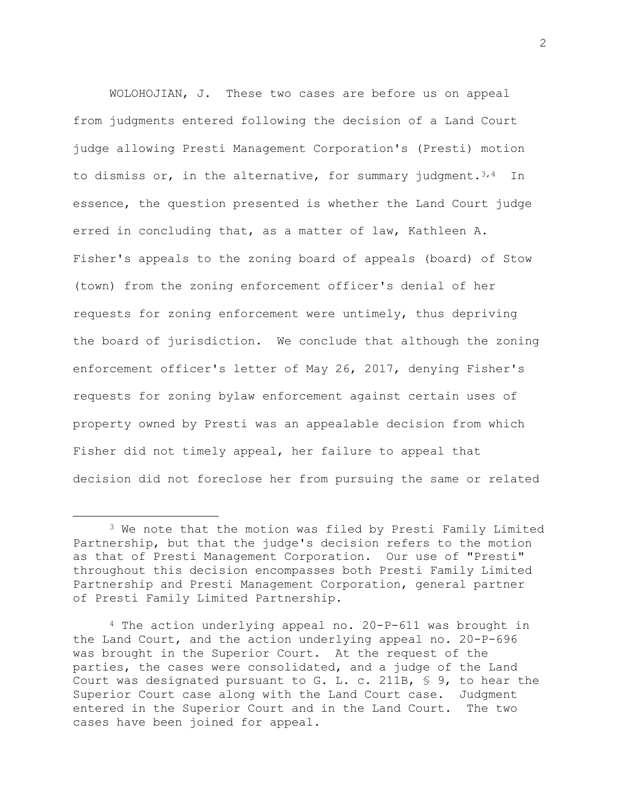WOLOHOJIAN, J. These two cases are before us on appeal from judgments entered following the decision of a Land Court judge allowing Presti Management Corporation's (Presti) motion to dismiss or, in the alternative, for summary judgment.<sup>3,4</sup> In essence, the question presented is whether the Land Court judge erred in concluding that, as a matter of law, Kathleen A. Fisher's appeals to the zoning board of appeals (board) of Stow (town) from the zoning enforcement officer's denial of her requests for zoning enforcement were untimely, thus depriving the board of jurisdiction. We conclude that although the zoning enforcement officer's letter of May 26, 2017, denying Fisher's requests for zoning bylaw enforcement against certain uses of property owned by Presti was an appealable decision from which Fisher did not timely appeal, her failure to appeal that decision did not foreclose her from pursuing the same or related

<sup>3</sup> We note that the motion was filed by Presti Family Limited Partnership, but that the judge's decision refers to the motion as that of Presti Management Corporation. Our use of "Presti" throughout this decision encompasses both Presti Family Limited Partnership and Presti Management Corporation, general partner of Presti Family Limited Partnership.

 $4$  The action underlying appeal no. 20-P-611 was brought in the Land Court, and the action underlying appeal no. 20-P-696 was brought in the Superior Court. At the request of the parties, the cases were consolidated, and a judge of the Land Court was designated pursuant to G. L. c. 211B, § 9, to hear the Superior Court case along with the Land Court case. Judgment entered in the Superior Court and in the Land Court. The two cases have been joined for appeal.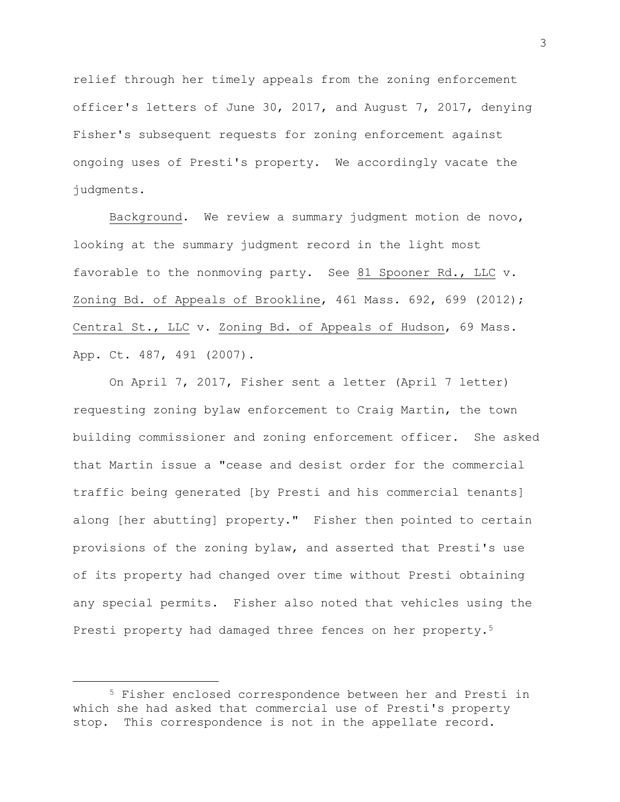relief through her timely appeals from the zoning enforcement officer's letters of June 30, 2017, and August 7, 2017, denying Fisher's subsequent requests for zoning enforcement against ongoing uses of Presti's property. We accordingly vacate the judgments.

Background. We review a summary judgment motion de novo, looking at the summary judgment record in the light most favorable to the nonmoving party. See 81 Spooner Rd., LLC v. Zoning Bd. of Appeals of Brookline, 461 Mass. 692, 699 (2012); Central St., LLC v. Zoning Bd. of Appeals of Hudson, 69 Mass. App. Ct. 487, 491 (2007).

On April 7, 2017, Fisher sent a letter (April 7 letter) requesting zoning bylaw enforcement to Craig Martin, the town building commissioner and zoning enforcement officer. She asked that Martin issue a "cease and desist order for the commercial traffic being generated [by Presti and his commercial tenants] along [her abutting] property." Fisher then pointed to certain provisions of the zoning bylaw, and asserted that Presti's use of its property had changed over time without Presti obtaining any special permits. Fisher also noted that vehicles using the Presti property had damaged three fences on her property.<sup>5</sup>

<sup>5</sup> Fisher enclosed correspondence between her and Presti in which she had asked that commercial use of Presti's property stop. This correspondence is not in the appellate record.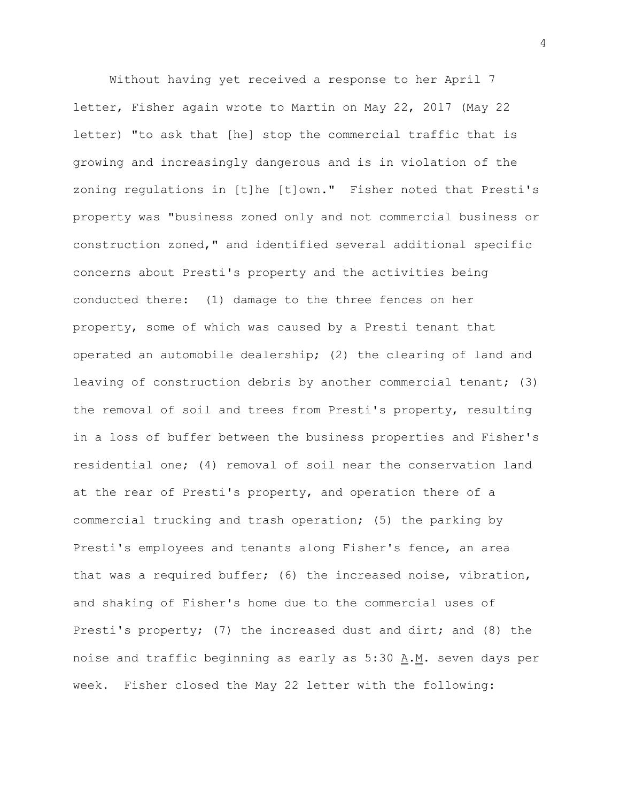Without having yet received a response to her April 7 letter, Fisher again wrote to Martin on May 22, 2017 (May 22 letter) "to ask that [he] stop the commercial traffic that is growing and increasingly dangerous and is in violation of the zoning regulations in [t]he [t]own." Fisher noted that Presti's property was "business zoned only and not commercial business or construction zoned," and identified several additional specific concerns about Presti's property and the activities being conducted there: (1) damage to the three fences on her property, some of which was caused by a Presti tenant that operated an automobile dealership; (2) the clearing of land and leaving of construction debris by another commercial tenant; (3) the removal of soil and trees from Presti's property, resulting in a loss of buffer between the business properties and Fisher's residential one; (4) removal of soil near the conservation land at the rear of Presti's property, and operation there of a commercial trucking and trash operation; (5) the parking by Presti's employees and tenants along Fisher's fence, an area that was a required buffer; (6) the increased noise, vibration, and shaking of Fisher's home due to the commercial uses of Presti's property; (7) the increased dust and dirt; and (8) the noise and traffic beginning as early as 5:30  $\underline{A.M.}$  seven days per week. Fisher closed the May 22 letter with the following: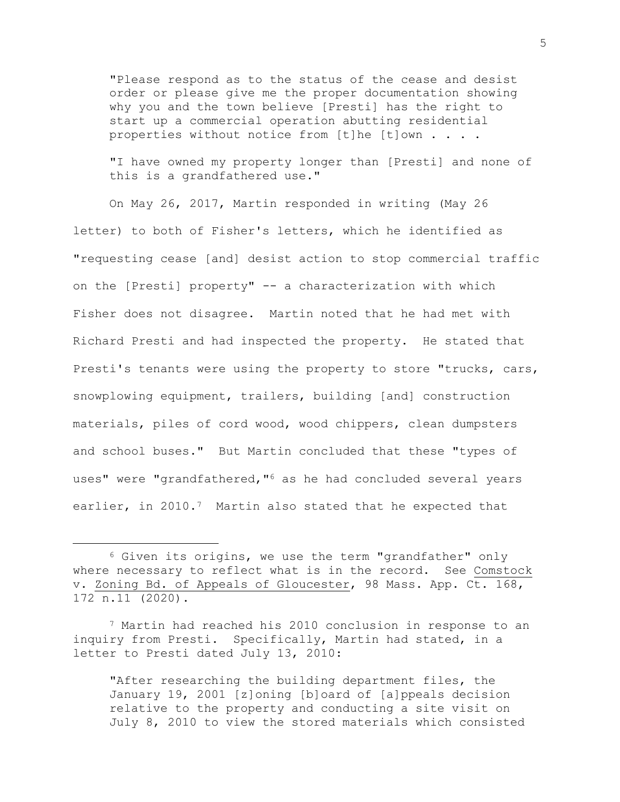"Please respond as to the status of the cease and desist order or please give me the proper documentation showing why you and the town believe [Presti] has the right to start up a commercial operation abutting residential properties without notice from [t]he [t]own . . . .

"I have owned my property longer than [Presti] and none of this is a grandfathered use."

On May 26, 2017, Martin responded in writing (May 26 letter) to both of Fisher's letters, which he identified as "requesting cease [and] desist action to stop commercial traffic on the [Presti] property" -- a characterization with which Fisher does not disagree. Martin noted that he had met with Richard Presti and had inspected the property. He stated that Presti's tenants were using the property to store "trucks, cars, snowplowing equipment, trailers, building [and] construction materials, piles of cord wood, wood chippers, clean dumpsters and school buses." But Martin concluded that these "types of uses" were "grandfathered, "<sup>6</sup> as he had concluded several years earlier, in 2010.<sup>7</sup> Martin also stated that he expected that

"After researching the building department files, the January 19, 2001 [z]oning [b]oard of [a]ppeals decision relative to the property and conducting a site visit on July 8, 2010 to view the stored materials which consisted

<sup>6</sup> Given its origins, we use the term "grandfather" only where necessary to reflect what is in the record. See Comstock v. Zoning Bd. of Appeals of Gloucester, 98 Mass. App. Ct. 168, 172 n.11 (2020).

<sup>7</sup> Martin had reached his 2010 conclusion in response to an inquiry from Presti. Specifically, Martin had stated, in a letter to Presti dated July 13, 2010: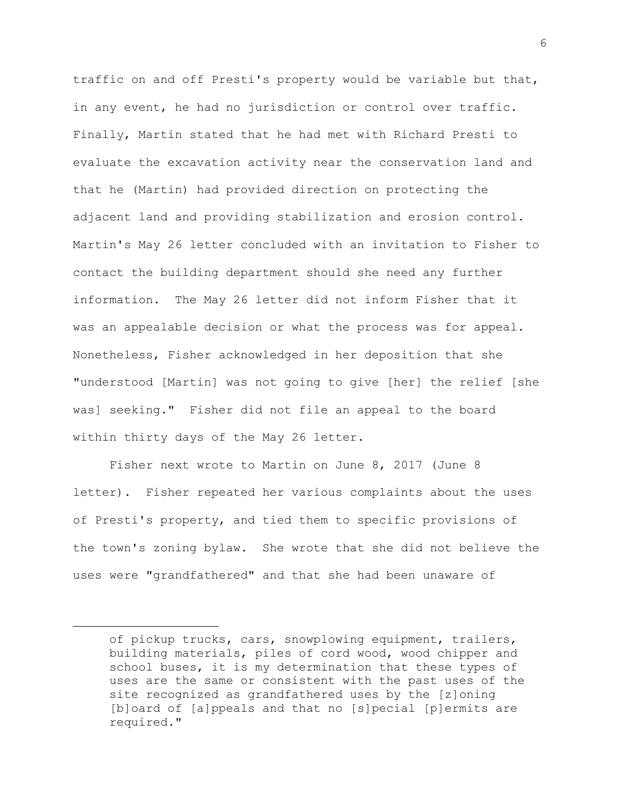traffic on and off Presti's property would be variable but that, in any event, he had no jurisdiction or control over traffic. Finally, Martin stated that he had met with Richard Presti to evaluate the excavation activity near the conservation land and that he (Martin) had provided direction on protecting the adjacent land and providing stabilization and erosion control. Martin's May 26 letter concluded with an invitation to Fisher to contact the building department should she need any further information. The May 26 letter did not inform Fisher that it was an appealable decision or what the process was for appeal. Nonetheless, Fisher acknowledged in her deposition that she "understood [Martin] was not going to give [her] the relief [she was] seeking." Fisher did not file an appeal to the board within thirty days of the May 26 letter.

Fisher next wrote to Martin on June 8, 2017 (June 8 letter). Fisher repeated her various complaints about the uses of Presti's property, and tied them to specific provisions of the town's zoning bylaw. She wrote that she did not believe the uses were "grandfathered" and that she had been unaware of

of pickup trucks, cars, snowplowing equipment, trailers, building materials, piles of cord wood, wood chipper and school buses, it is my determination that these types of uses are the same or consistent with the past uses of the site recognized as grandfathered uses by the [z]oning [b]oard of [a]ppeals and that no [s]pecial [p]ermits are required."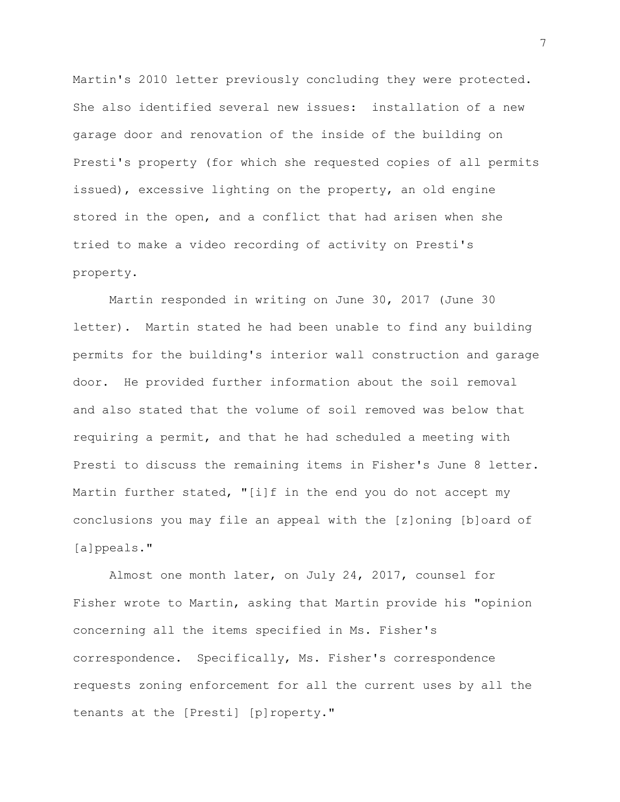Martin's 2010 letter previously concluding they were protected. She also identified several new issues: installation of a new garage door and renovation of the inside of the building on Presti's property (for which she requested copies of all permits issued), excessive lighting on the property, an old engine stored in the open, and a conflict that had arisen when she tried to make a video recording of activity on Presti's property.

Martin responded in writing on June 30, 2017 (June 30 letter). Martin stated he had been unable to find any building permits for the building's interior wall construction and garage door. He provided further information about the soil removal and also stated that the volume of soil removed was below that requiring a permit, and that he had scheduled a meeting with Presti to discuss the remaining items in Fisher's June 8 letter. Martin further stated, "[i]f in the end you do not accept my conclusions you may file an appeal with the [z]oning [b]oard of [a]ppeals."

Almost one month later, on July 24, 2017, counsel for Fisher wrote to Martin, asking that Martin provide his "opinion concerning all the items specified in Ms. Fisher's correspondence. Specifically, Ms. Fisher's correspondence requests zoning enforcement for all the current uses by all the tenants at the [Presti] [p]roperty."

7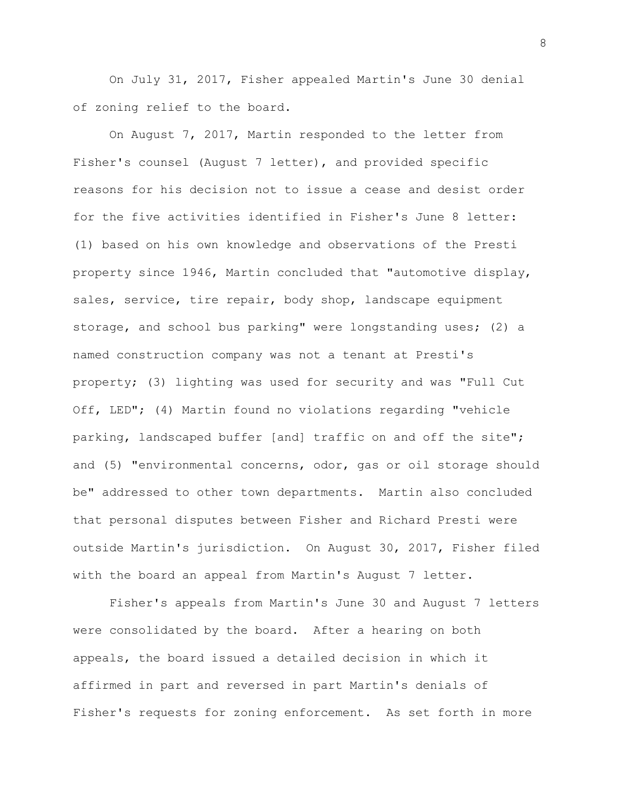On July 31, 2017, Fisher appealed Martin's June 30 denial of zoning relief to the board.

On August 7, 2017, Martin responded to the letter from Fisher's counsel (August 7 letter), and provided specific reasons for his decision not to issue a cease and desist order for the five activities identified in Fisher's June 8 letter: (1) based on his own knowledge and observations of the Presti property since 1946, Martin concluded that "automotive display, sales, service, tire repair, body shop, landscape equipment storage, and school bus parking" were longstanding uses; (2) a named construction company was not a tenant at Presti's property; (3) lighting was used for security and was "Full Cut Off, LED"; (4) Martin found no violations regarding "vehicle parking, landscaped buffer [and] traffic on and off the site"; and (5) "environmental concerns, odor, gas or oil storage should be" addressed to other town departments. Martin also concluded that personal disputes between Fisher and Richard Presti were outside Martin's jurisdiction. On August 30, 2017, Fisher filed with the board an appeal from Martin's August 7 letter.

Fisher's appeals from Martin's June 30 and August 7 letters were consolidated by the board. After a hearing on both appeals, the board issued a detailed decision in which it affirmed in part and reversed in part Martin's denials of Fisher's requests for zoning enforcement. As set forth in more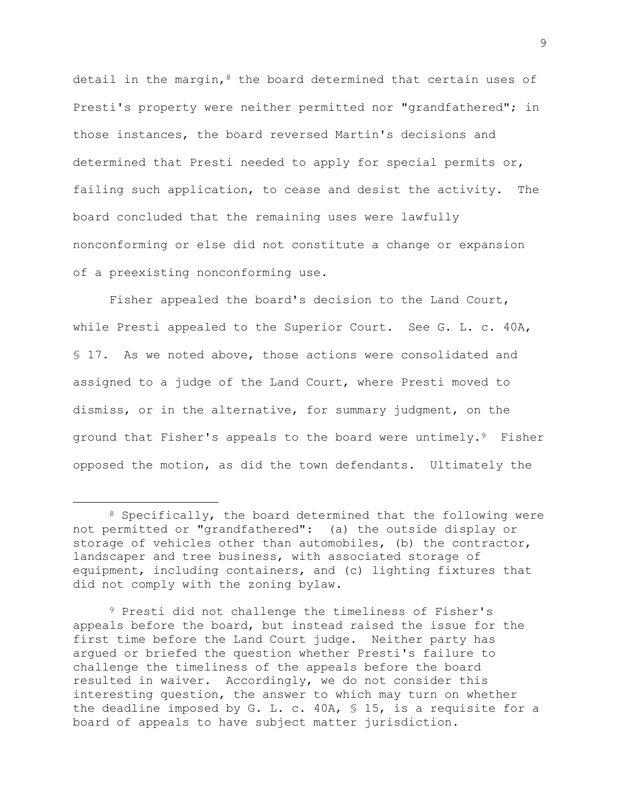detail in the margin,  $8$  the board determined that certain uses of Presti's property were neither permitted nor "grandfathered"; in those instances, the board reversed Martin's decisions and determined that Presti needed to apply for special permits or, failing such application, to cease and desist the activity. The board concluded that the remaining uses were lawfully nonconforming or else did not constitute a change or expansion of a preexisting nonconforming use.

Fisher appealed the board's decision to the Land Court, while Presti appealed to the Superior Court. See G. L. c. 40A, § 17. As we noted above, those actions were consolidated and assigned to a judge of the Land Court, where Presti moved to dismiss, or in the alternative, for summary judgment, on the ground that Fisher's appeals to the board were untimely.9 Fisher opposed the motion, as did the town defendants. Ultimately the

<sup>9</sup> Presti did not challenge the timeliness of Fisher's appeals before the board, but instead raised the issue for the first time before the Land Court judge. Neither party has argued or briefed the question whether Presti's failure to challenge the timeliness of the appeals before the board resulted in waiver. Accordingly, we do not consider this interesting question, the answer to which may turn on whether the deadline imposed by G. L. c. 40A, § 15, is a requisite for a board of appeals to have subject matter jurisdiction.

<sup>&</sup>lt;sup>8</sup> Specifically, the board determined that the following were not permitted or "grandfathered": (a) the outside display or storage of vehicles other than automobiles, (b) the contractor, landscaper and tree business, with associated storage of equipment, including containers, and (c) lighting fixtures that did not comply with the zoning bylaw.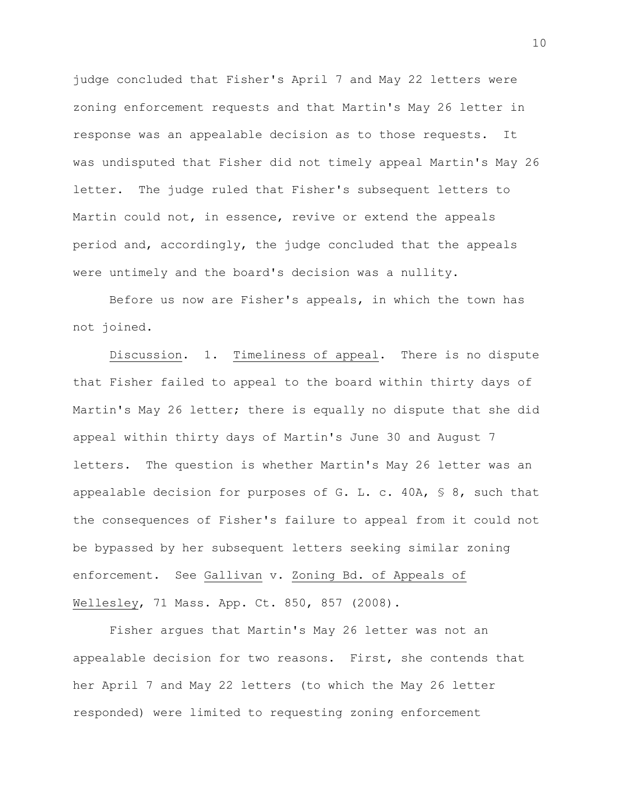judge concluded that Fisher's April 7 and May 22 letters were zoning enforcement requests and that Martin's May 26 letter in response was an appealable decision as to those requests. It was undisputed that Fisher did not timely appeal Martin's May 26 letter. The judge ruled that Fisher's subsequent letters to Martin could not, in essence, revive or extend the appeals period and, accordingly, the judge concluded that the appeals were untimely and the board's decision was a nullity.

Before us now are Fisher's appeals, in which the town has not joined.

Discussion. 1. Timeliness of appeal. There is no dispute that Fisher failed to appeal to the board within thirty days of Martin's May 26 letter; there is equally no dispute that she did appeal within thirty days of Martin's June 30 and August 7 letters. The question is whether Martin's May 26 letter was an appealable decision for purposes of G. L. c.  $40A$ , § 8, such that the consequences of Fisher's failure to appeal from it could not be bypassed by her subsequent letters seeking similar zoning enforcement. See Gallivan v. Zoning Bd. of Appeals of Wellesley, 71 Mass. App. Ct. 850, 857 (2008).

Fisher argues that Martin's May 26 letter was not an appealable decision for two reasons. First, she contends that her April 7 and May 22 letters (to which the May 26 letter responded) were limited to requesting zoning enforcement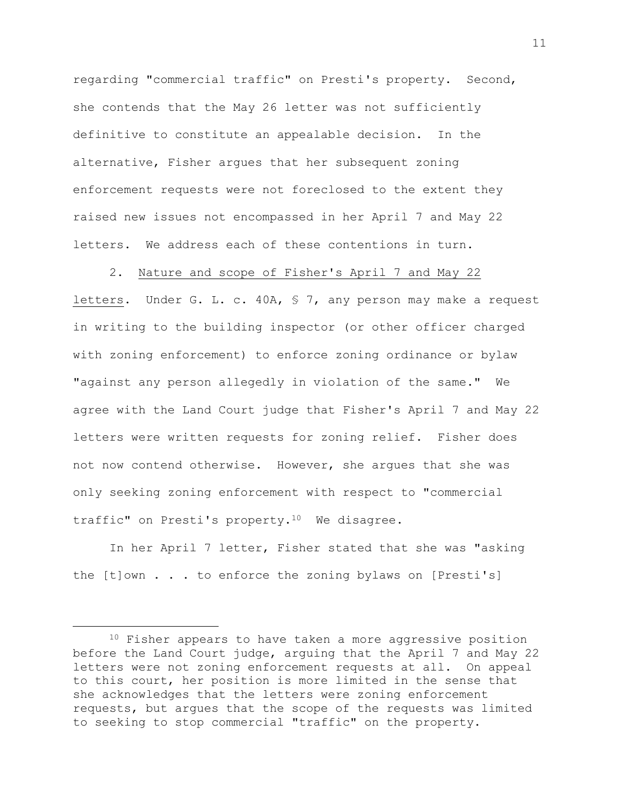regarding "commercial traffic" on Presti's property. Second, she contends that the May 26 letter was not sufficiently definitive to constitute an appealable decision. In the alternative, Fisher argues that her subsequent zoning enforcement requests were not foreclosed to the extent they raised new issues not encompassed in her April 7 and May 22 letters. We address each of these contentions in turn.

2. Nature and scope of Fisher's April 7 and May 22 letters. Under G. L. c. 40A, § 7, any person may make a request in writing to the building inspector (or other officer charged with zoning enforcement) to enforce zoning ordinance or bylaw "against any person allegedly in violation of the same." We agree with the Land Court judge that Fisher's April 7 and May 22 letters were written requests for zoning relief. Fisher does not now contend otherwise. However, she argues that she was only seeking zoning enforcement with respect to "commercial traffic" on Presti's property.<sup>10</sup> We disagree.

In her April 7 letter, Fisher stated that she was "asking the [t]own . . . to enforce the zoning bylaws on [Presti's]

11

<sup>&</sup>lt;sup>10</sup> Fisher appears to have taken a more aggressive position before the Land Court judge, arguing that the April 7 and May 22 letters were not zoning enforcement requests at all. On appeal to this court, her position is more limited in the sense that she acknowledges that the letters were zoning enforcement requests, but argues that the scope of the requests was limited to seeking to stop commercial "traffic" on the property.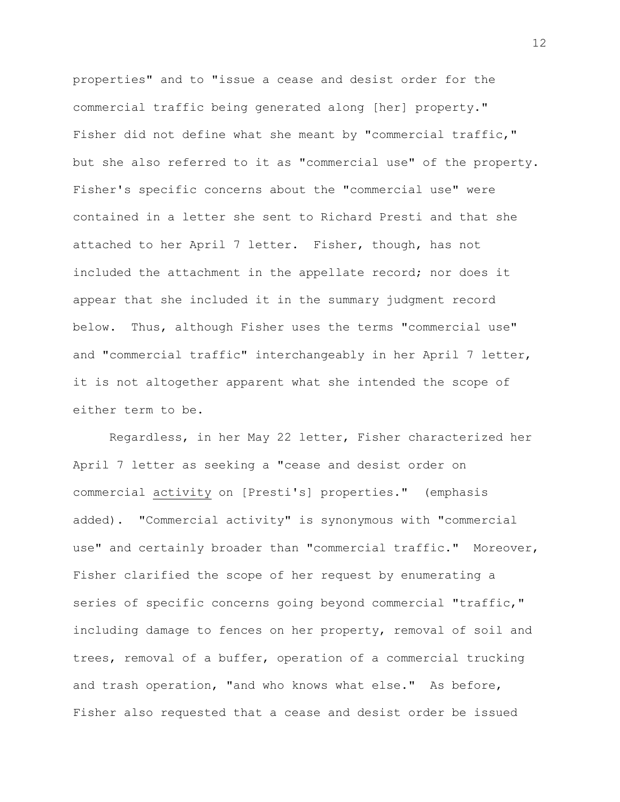properties" and to "issue a cease and desist order for the commercial traffic being generated along [her] property." Fisher did not define what she meant by "commercial traffic," but she also referred to it as "commercial use" of the property. Fisher's specific concerns about the "commercial use" were contained in a letter she sent to Richard Presti and that she attached to her April 7 letter. Fisher, though, has not included the attachment in the appellate record; nor does it appear that she included it in the summary judgment record below. Thus, although Fisher uses the terms "commercial use" and "commercial traffic" interchangeably in her April 7 letter, it is not altogether apparent what she intended the scope of either term to be.

Regardless, in her May 22 letter, Fisher characterized her April 7 letter as seeking a "cease and desist order on commercial activity on [Presti's] properties." (emphasis added). "Commercial activity" is synonymous with "commercial use" and certainly broader than "commercial traffic." Moreover, Fisher clarified the scope of her request by enumerating a series of specific concerns going beyond commercial "traffic," including damage to fences on her property, removal of soil and trees, removal of a buffer, operation of a commercial trucking and trash operation, "and who knows what else." As before, Fisher also requested that a cease and desist order be issued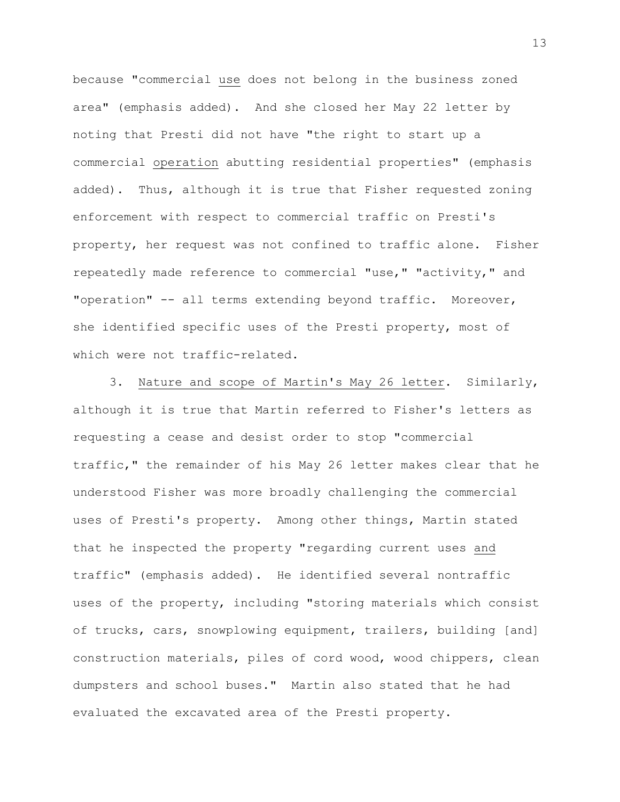because "commercial use does not belong in the business zoned area" (emphasis added). And she closed her May 22 letter by noting that Presti did not have "the right to start up a commercial operation abutting residential properties" (emphasis added). Thus, although it is true that Fisher requested zoning enforcement with respect to commercial traffic on Presti's property, her request was not confined to traffic alone. Fisher repeatedly made reference to commercial "use," "activity," and "operation" -- all terms extending beyond traffic. Moreover, she identified specific uses of the Presti property, most of which were not traffic-related.

3. Nature and scope of Martin's May 26 letter. Similarly, although it is true that Martin referred to Fisher's letters as requesting a cease and desist order to stop "commercial traffic," the remainder of his May 26 letter makes clear that he understood Fisher was more broadly challenging the commercial uses of Presti's property. Among other things, Martin stated that he inspected the property "regarding current uses and traffic" (emphasis added). He identified several nontraffic uses of the property, including "storing materials which consist of trucks, cars, snowplowing equipment, trailers, building [and] construction materials, piles of cord wood, wood chippers, clean dumpsters and school buses." Martin also stated that he had evaluated the excavated area of the Presti property.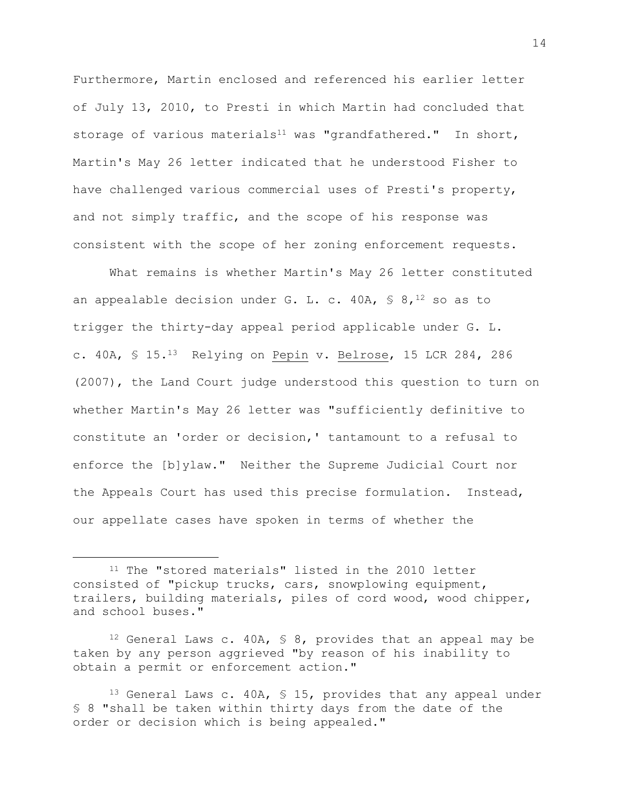Furthermore, Martin enclosed and referenced his earlier letter of July 13, 2010, to Presti in which Martin had concluded that storage of various materials<sup>11</sup> was "grandfathered." In short, Martin's May 26 letter indicated that he understood Fisher to have challenged various commercial uses of Presti's property, and not simply traffic, and the scope of his response was consistent with the scope of her zoning enforcement requests.

What remains is whether Martin's May 26 letter constituted an appealable decision under G. L. c. 40A,  $\frac{1}{5}$  8,<sup>12</sup> so as to trigger the thirty-day appeal period applicable under G. L. c. 40A, § 15.<sup>13</sup> Relying on Pepin v. Belrose, 15 LCR 284, 286 (2007), the Land Court judge understood this question to turn on whether Martin's May 26 letter was "sufficiently definitive to constitute an 'order or decision,' tantamount to a refusal to enforce the [b]ylaw." Neither the Supreme Judicial Court nor the Appeals Court has used this precise formulation. Instead, our appellate cases have spoken in terms of whether the

<sup>11</sup> The "stored materials" listed in the 2010 letter consisted of "pickup trucks, cars, snowplowing equipment, trailers, building materials, piles of cord wood, wood chipper, and school buses."

<sup>&</sup>lt;sup>12</sup> General Laws c. 40A,  $\frac{12}{12}$  servides that an appeal may be taken by any person aggrieved "by reason of his inability to obtain a permit or enforcement action."

<sup>&</sup>lt;sup>13</sup> General Laws c. 40A, § 15, provides that any appeal under § 8 "shall be taken within thirty days from the date of the order or decision which is being appealed."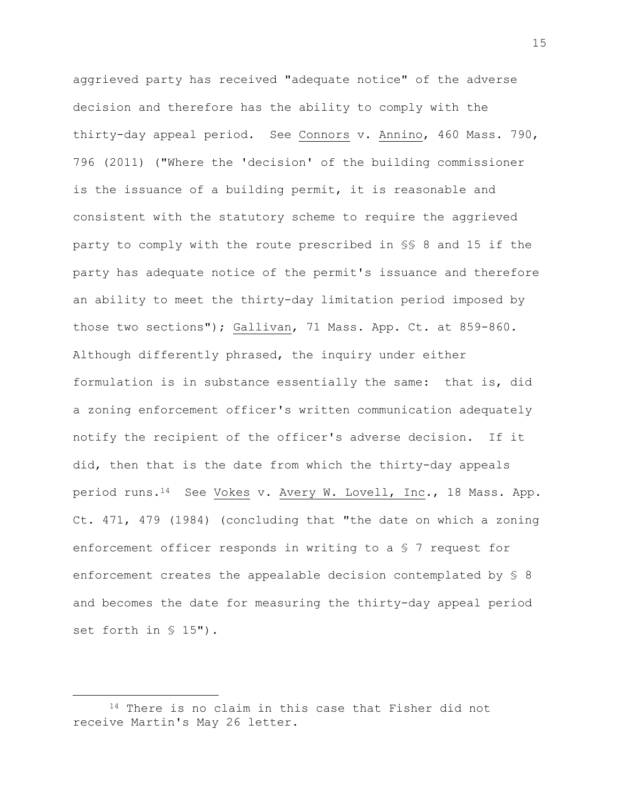aggrieved party has received "adequate notice" of the adverse decision and therefore has the ability to comply with the thirty-day appeal period. See Connors v. Annino, 460 Mass. 790, 796 (2011) ("Where the 'decision' of the building commissioner is the issuance of a building permit, it is reasonable and consistent with the statutory scheme to require the aggrieved party to comply with the route prescribed in §§ 8 and 15 if the party has adequate notice of the permit's issuance and therefore an ability to meet the thirty-day limitation period imposed by those two sections"); Gallivan, 71 Mass. App. Ct. at 859-860. Although differently phrased, the inquiry under either formulation is in substance essentially the same: that is, did a zoning enforcement officer's written communication adequately notify the recipient of the officer's adverse decision. If it did, then that is the date from which the thirty-day appeals period runs.<sup>14</sup> See Vokes v. Avery W. Lovell, Inc., 18 Mass. App. Ct. 471, 479 (1984) (concluding that "the date on which a zoning enforcement officer responds in writing to a § 7 request for enforcement creates the appealable decision contemplated by § 8 and becomes the date for measuring the thirty-day appeal period set forth in § 15").

<sup>14</sup> There is no claim in this case that Fisher did not receive Martin's May 26 letter.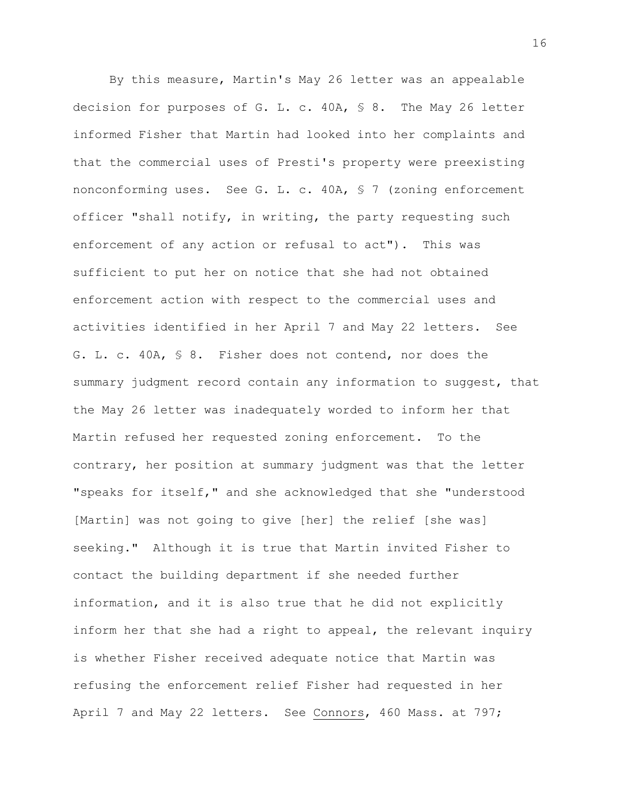By this measure, Martin's May 26 letter was an appealable decision for purposes of G. L. c. 40A, § 8. The May 26 letter informed Fisher that Martin had looked into her complaints and that the commercial uses of Presti's property were preexisting nonconforming uses. See G. L. c. 40A, § 7 (zoning enforcement officer "shall notify, in writing, the party requesting such enforcement of any action or refusal to act"). This was sufficient to put her on notice that she had not obtained enforcement action with respect to the commercial uses and activities identified in her April 7 and May 22 letters. See G. L. c. 40A, § 8. Fisher does not contend, nor does the summary judgment record contain any information to suggest, that the May 26 letter was inadequately worded to inform her that Martin refused her requested zoning enforcement. To the contrary, her position at summary judgment was that the letter "speaks for itself," and she acknowledged that she "understood [Martin] was not going to give [her] the relief [she was] seeking." Although it is true that Martin invited Fisher to contact the building department if she needed further information, and it is also true that he did not explicitly inform her that she had a right to appeal, the relevant inquiry is whether Fisher received adequate notice that Martin was refusing the enforcement relief Fisher had requested in her April 7 and May 22 letters. See Connors, 460 Mass. at 797;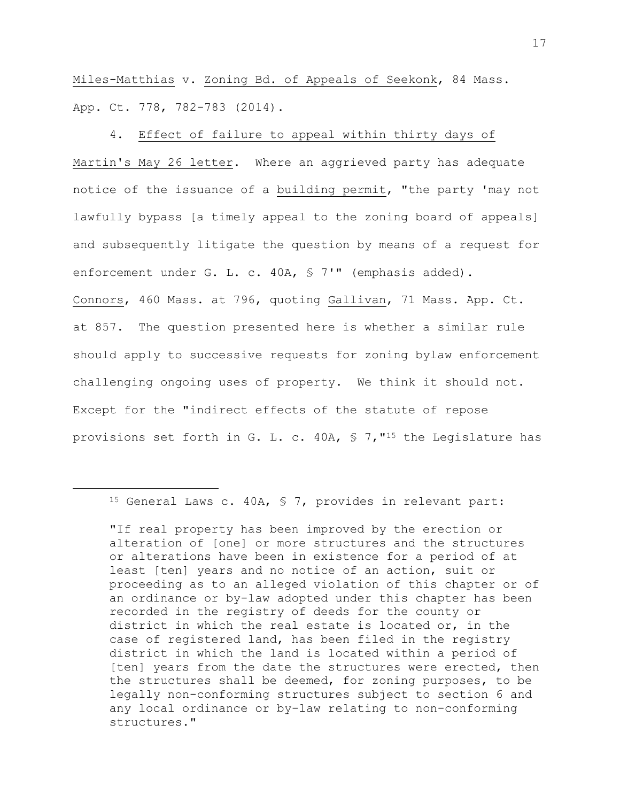Miles-Matthias v. Zoning Bd. of Appeals of Seekonk, 84 Mass. App. Ct. 778, 782-783 (2014).

4. Effect of failure to appeal within thirty days of Martin's May 26 letter. Where an aggrieved party has adequate notice of the issuance of a building permit, "the party 'may not lawfully bypass [a timely appeal to the zoning board of appeals] and subsequently litigate the question by means of a request for enforcement under G. L. c. 40A, § 7'" (emphasis added). Connors, 460 Mass. at 796, quoting Gallivan, 71 Mass. App. Ct. at 857. The question presented here is whether a similar rule should apply to successive requests for zoning bylaw enforcement challenging ongoing uses of property. We think it should not. Except for the "indirect effects of the statute of repose provisions set forth in G. L. c. 40A, § 7,"<sup>15</sup> the Legislature has

<sup>15</sup> General Laws c. 40A, § 7, provides in relevant part:

<sup>&</sup>quot;If real property has been improved by the erection or alteration of [one] or more structures and the structures or alterations have been in existence for a period of at least [ten] years and no notice of an action, suit or proceeding as to an alleged violation of this chapter or of an ordinance or by-law adopted under this chapter has been recorded in the registry of deeds for the county or district in which the real estate is located or, in the case of registered land, has been filed in the registry district in which the land is located within a period of [ten] years from the date the structures were erected, then the structures shall be deemed, for zoning purposes, to be legally non-conforming structures subject to section 6 and any local ordinance or by-law relating to non-conforming structures."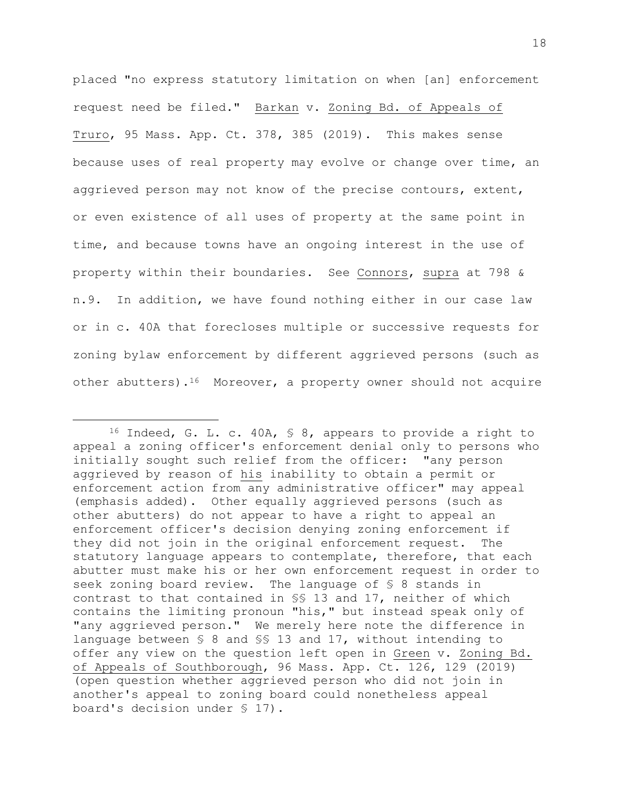placed "no express statutory limitation on when [an] enforcement request need be filed." Barkan v. Zoning Bd. of Appeals of Truro, 95 Mass. App. Ct. 378, 385 (2019). This makes sense because uses of real property may evolve or change over time, an aggrieved person may not know of the precise contours, extent, or even existence of all uses of property at the same point in time, and because towns have an ongoing interest in the use of property within their boundaries. See Connors, supra at 798 & n.9. In addition, we have found nothing either in our case law or in c. 40A that forecloses multiple or successive requests for zoning bylaw enforcement by different aggrieved persons (such as other abutters).<sup>16</sup> Moreover, a property owner should not acquire

<sup>16</sup> Indeed, G. L. c. 40A, § 8, appears to provide a right to appeal a zoning officer's enforcement denial only to persons who initially sought such relief from the officer: "any person aggrieved by reason of his inability to obtain a permit or enforcement action from any administrative officer" may appeal (emphasis added). Other equally aggrieved persons (such as other abutters) do not appear to have a right to appeal an enforcement officer's decision denying zoning enforcement if they did not join in the original enforcement request. The statutory language appears to contemplate, therefore, that each abutter must make his or her own enforcement request in order to seek zoning board review. The language of § 8 stands in contrast to that contained in §§ 13 and 17, neither of which contains the limiting pronoun "his," but instead speak only of "any aggrieved person." We merely here note the difference in language between § 8 and §§ 13 and 17, without intending to offer any view on the question left open in Green v. Zoning Bd. of Appeals of Southborough, 96 Mass. App. Ct. 126, 129 (2019) (open question whether aggrieved person who did not join in another's appeal to zoning board could nonetheless appeal board's decision under § 17).